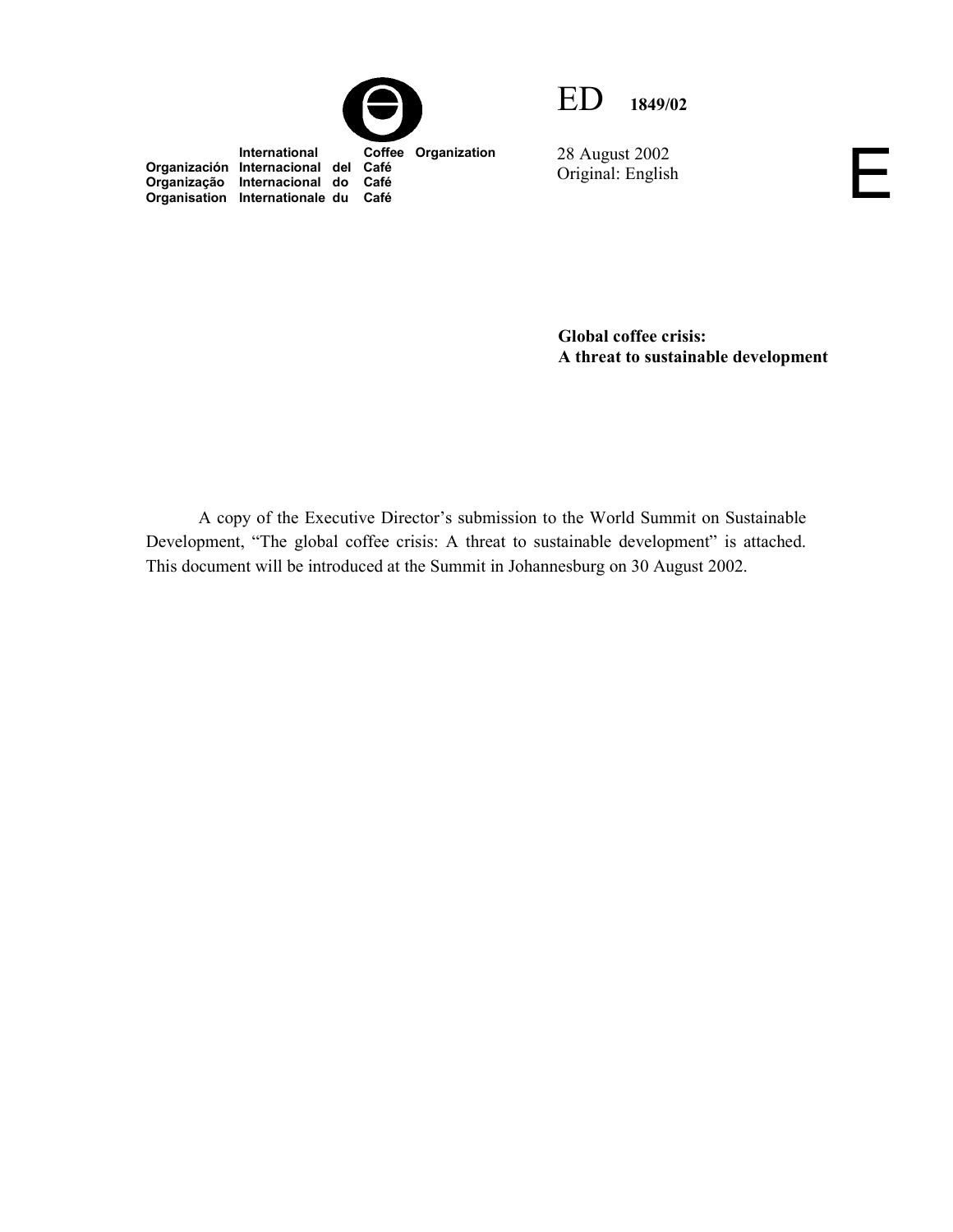

**Organización Internacional del Café Organização Internacional do Café Organisation Internationale du Café**



28 August 2002 Original: English E

**Global coffee crisis: A threat to sustainable development** 

A copy of the Executive Director's submission to the World Summit on Sustainable Development, "The global coffee crisis: A threat to sustainable development" is attached. This document will be introduced at the Summit in Johannesburg on 30 August 2002.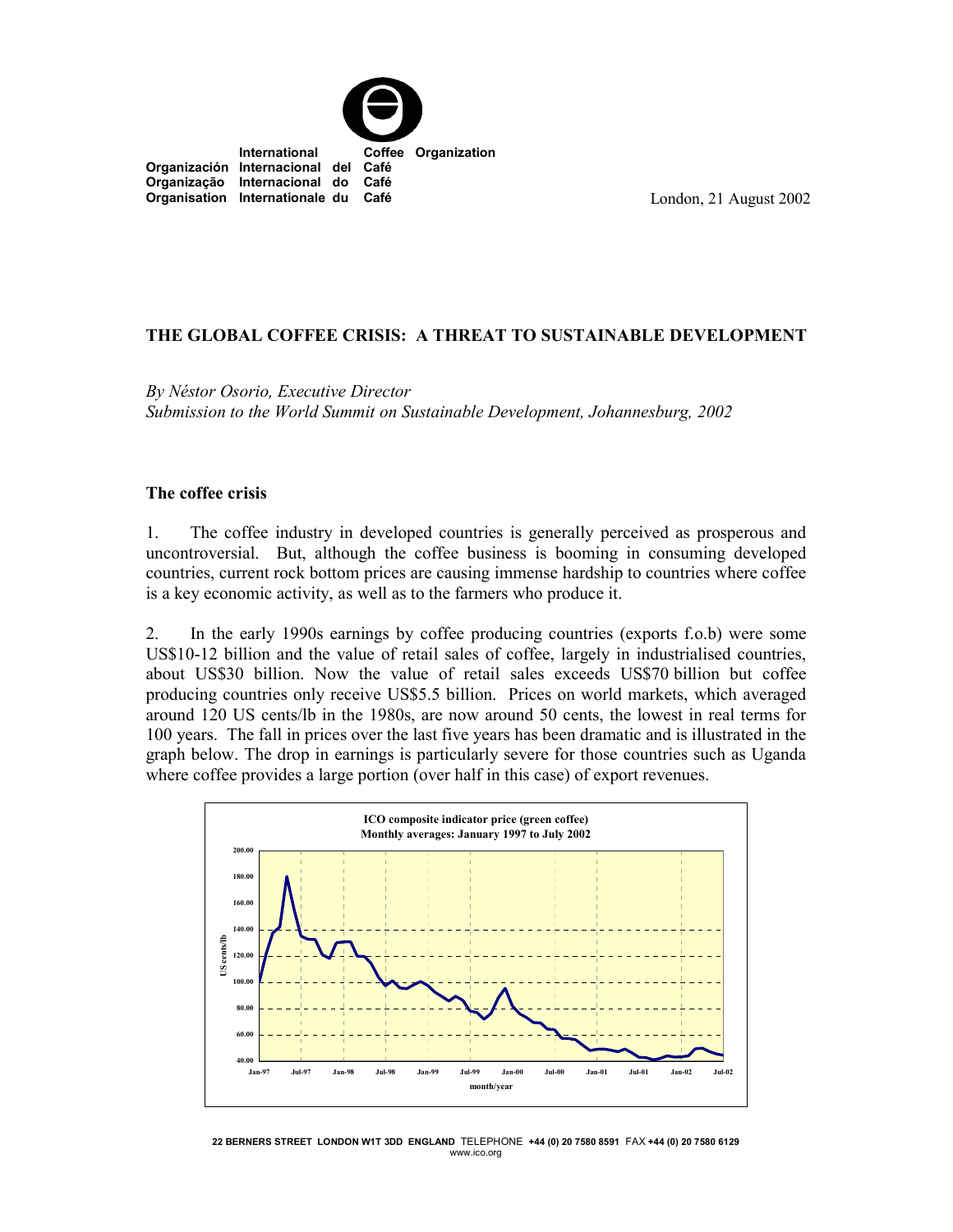

London, 21 August 2002

## **THE GLOBAL COFFEE CRISIS: A THREAT TO SUSTAINABLE DEVELOPMENT**

*By Néstor Osorio, Executive Director Submission to the World Summit on Sustainable Development, Johannesburg, 2002*

#### **The coffee crisis**

1. The coffee industry in developed countries is generally perceived as prosperous and uncontroversial. But, although the coffee business is booming in consuming developed countries, current rock bottom prices are causing immense hardship to countries where coffee is a key economic activity, as well as to the farmers who produce it.

2. In the early 1990s earnings by coffee producing countries (exports f.o.b) were some US\$10-12 billion and the value of retail sales of coffee, largely in industrialised countries, about US\$30 billion. Now the value of retail sales exceeds US\$70 billion but coffee producing countries only receive US\$5.5 billion. Prices on world markets, which averaged around 120 US cents/lb in the 1980s, are now around 50 cents, the lowest in real terms for 100 years. The fall in prices over the last five years has been dramatic and is illustrated in the graph below. The drop in earnings is particularly severe for those countries such as Uganda where coffee provides a large portion (over half in this case) of export revenues.



**22 BERNERS STREET LONDON W1T 3DD ENGLAND** TELEPHONE **+44 (0) 20 7580 8591** FAX **+44 (0) 20 7580 6129** www.ico.org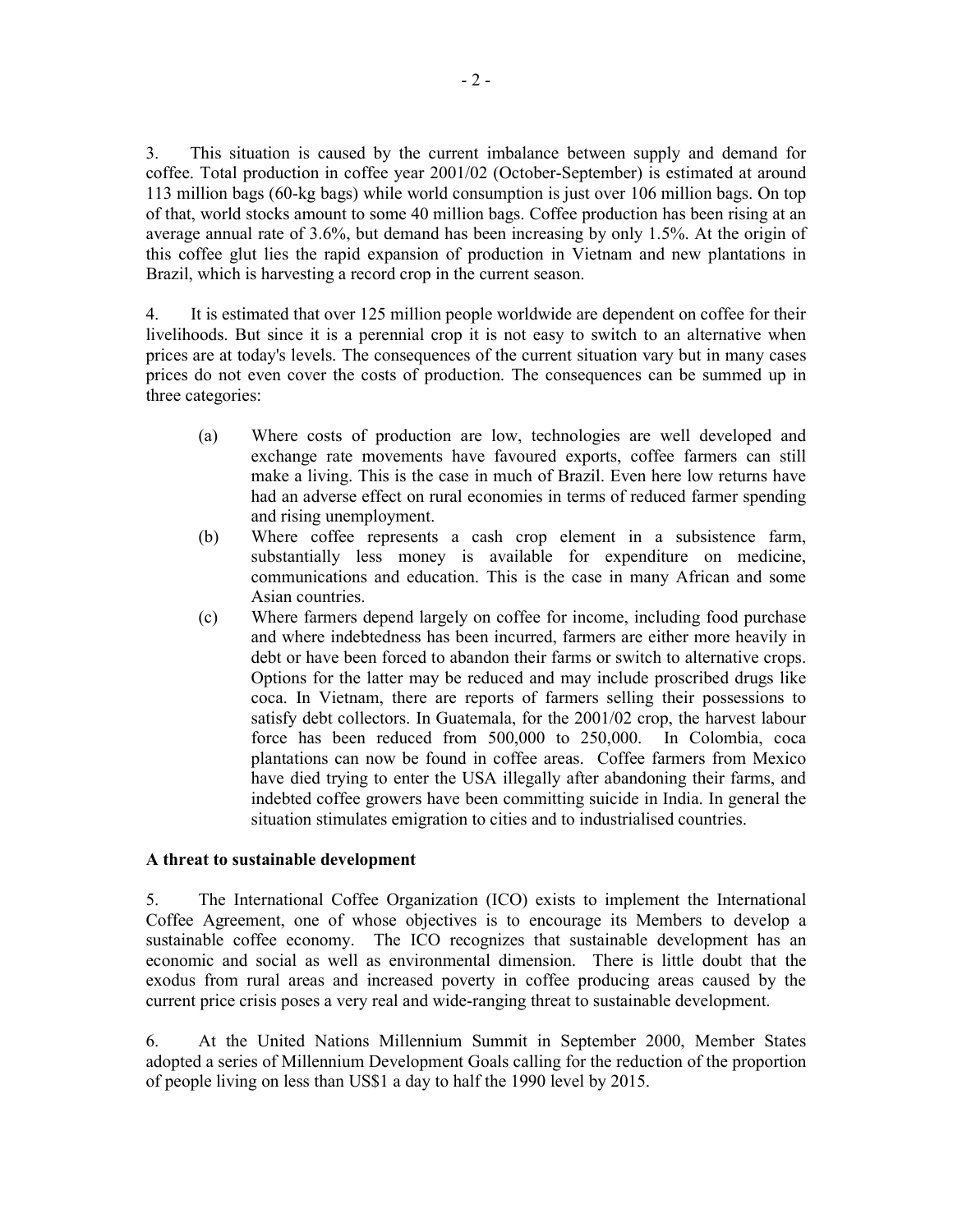3. This situation is caused by the current imbalance between supply and demand for coffee. Total production in coffee year 2001/02 (October-September) is estimated at around 113 million bags (60-kg bags) while world consumption is just over 106 million bags. On top of that, world stocks amount to some 40 million bags. Coffee production has been rising at an average annual rate of 3.6%, but demand has been increasing by only 1.5%. At the origin of this coffee glut lies the rapid expansion of production in Vietnam and new plantations in Brazil, which is harvesting a record crop in the current season.

4. It is estimated that over 125 million people worldwide are dependent on coffee for their livelihoods. But since it is a perennial crop it is not easy to switch to an alternative when prices are at today's levels. The consequences of the current situation vary but in many cases prices do not even cover the costs of production. The consequences can be summed up in three categories:

- (a) Where costs of production are low, technologies are well developed and exchange rate movements have favoured exports, coffee farmers can still make a living. This is the case in much of Brazil. Even here low returns have had an adverse effect on rural economies in terms of reduced farmer spending and rising unemployment.
- (b) Where coffee represents a cash crop element in a subsistence farm, substantially less money is available for expenditure on medicine, communications and education. This is the case in many African and some Asian countries.
- (c) Where farmers depend largely on coffee for income, including food purchase and where indebtedness has been incurred, farmers are either more heavily in debt or have been forced to abandon their farms or switch to alternative crops. Options for the latter may be reduced and may include proscribed drugs like coca. In Vietnam, there are reports of farmers selling their possessions to satisfy debt collectors. In Guatemala, for the 2001/02 crop, the harvest labour force has been reduced from 500,000 to 250,000. In Colombia, coca plantations can now be found in coffee areas. Coffee farmers from Mexico have died trying to enter the USA illegally after abandoning their farms, and indebted coffee growers have been committing suicide in India. In general the situation stimulates emigration to cities and to industrialised countries.

#### **A threat to sustainable development**

5. The International Coffee Organization (ICO) exists to implement the International Coffee Agreement, one of whose objectives is to encourage its Members to develop a sustainable coffee economy. The ICO recognizes that sustainable development has an economic and social as well as environmental dimension. There is little doubt that the exodus from rural areas and increased poverty in coffee producing areas caused by the current price crisis poses a very real and wide-ranging threat to sustainable development.

6. At the United Nations Millennium Summit in September 2000, Member States adopted a series of Millennium Development Goals calling for the reduction of the proportion of people living on less than US\$1 a day to half the 1990 level by 2015.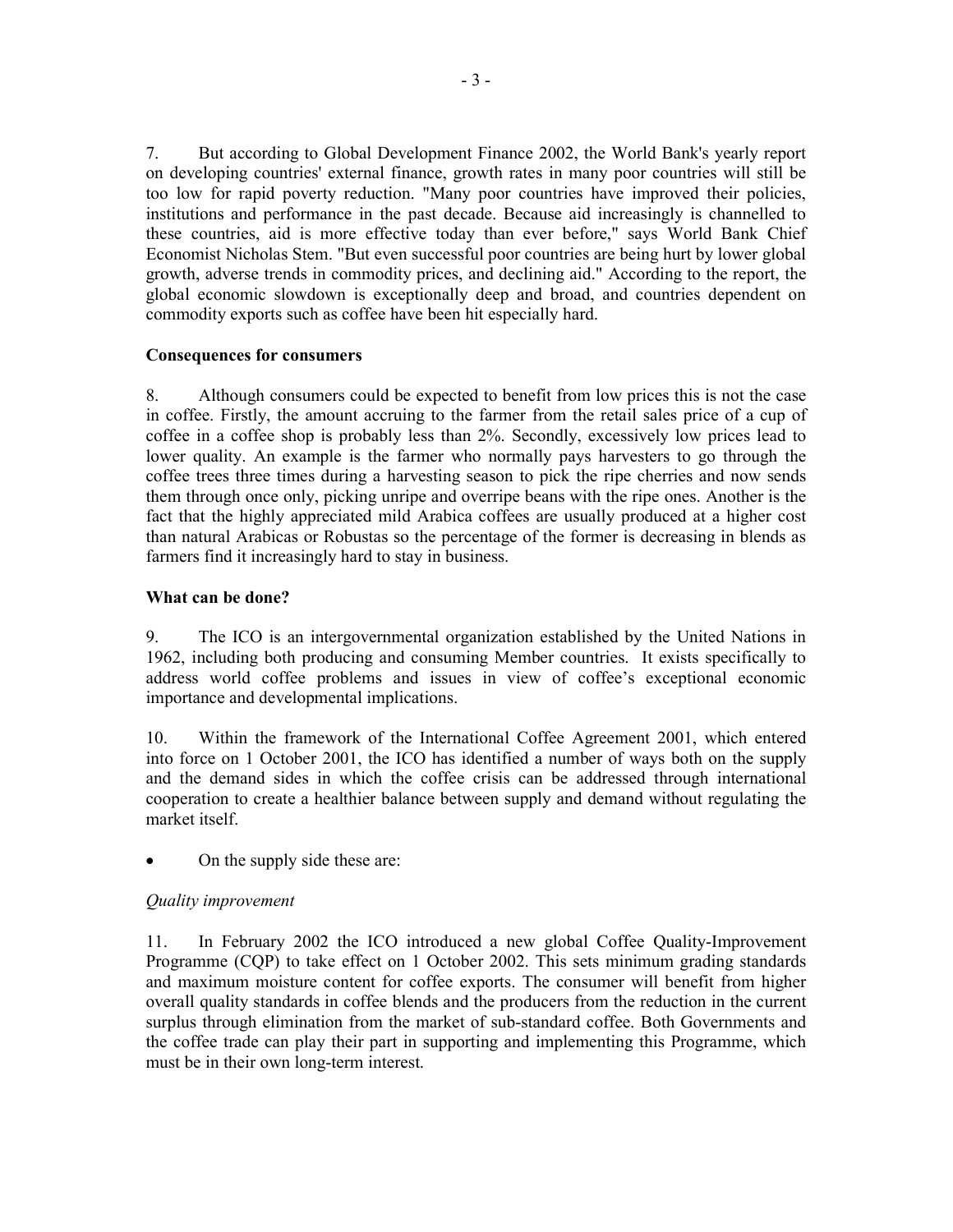7. But according to Global Development Finance 2002, the World Bank's yearly report on developing countries' external finance, growth rates in many poor countries will still be too low for rapid poverty reduction. "Many poor countries have improved their policies, institutions and performance in the past decade. Because aid increasingly is channelled to these countries, aid is more effective today than ever before," says World Bank Chief Economist Nicholas Stem. "But even successful poor countries are being hurt by lower global growth, adverse trends in commodity prices, and declining aid." According to the report, the global economic slowdown is exceptionally deep and broad, and countries dependent on commodity exports such as coffee have been hit especially hard.

## **Consequences for consumers**

8. Although consumers could be expected to benefit from low prices this is not the case in coffee. Firstly, the amount accruing to the farmer from the retail sales price of a cup of coffee in a coffee shop is probably less than 2%. Secondly, excessively low prices lead to lower quality. An example is the farmer who normally pays harvesters to go through the coffee trees three times during a harvesting season to pick the ripe cherries and now sends them through once only, picking unripe and overripe beans with the ripe ones. Another is the fact that the highly appreciated mild Arabica coffees are usually produced at a higher cost than natural Arabicas or Robustas so the percentage of the former is decreasing in blends as farmers find it increasingly hard to stay in business.

# **What can be done?**

9. The ICO is an intergovernmental organization established by the United Nations in 1962, including both producing and consuming Member countries. It exists specifically to address world coffee problems and issues in view of coffee's exceptional economic importance and developmental implications.

10. Within the framework of the International Coffee Agreement 2001, which entered into force on 1 October 2001, the ICO has identified a number of ways both on the supply and the demand sides in which the coffee crisis can be addressed through international cooperation to create a healthier balance between supply and demand without regulating the market itself.

-On the supply side these are:

# *Quality improvement*

11. In February 2002 the ICO introduced a new global Coffee Quality-Improvement Programme (CQP) to take effect on 1 October 2002. This sets minimum grading standards and maximum moisture content for coffee exports. The consumer will benefit from higher overall quality standards in coffee blends and the producers from the reduction in the current surplus through elimination from the market of sub-standard coffee. Both Governments and the coffee trade can play their part in supporting and implementing this Programme, which must be in their own long-term interest.